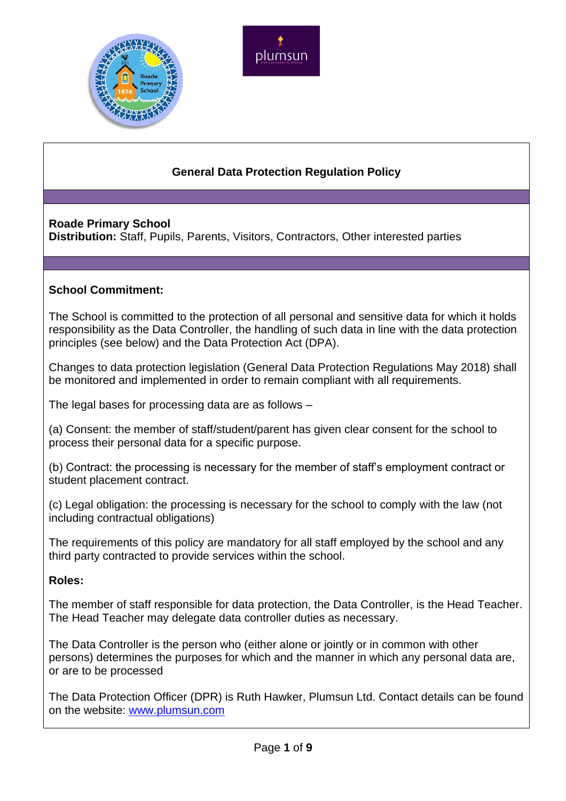



# **General Data Protection Regulation Policy**

# **Roade Primary School**

**Distribution:** Staff, Pupils, Parents, Visitors, Contractors, Other interested parties

# **School Commitment:**

The School is committed to the protection of all personal and sensitive data for which it holds responsibility as the Data Controller, the handling of such data in line with the data protection principles (see below) and the Data Protection Act (DPA).

Changes to data protection legislation (General Data Protection Regulations May 2018) shall be monitored and implemented in order to remain compliant with all requirements.

The legal bases for processing data are as follows –

(a) Consent: the member of staff/student/parent has given clear consent for the school to process their personal data for a specific purpose.

(b) Contract: the processing is necessary for the member of staff's employment contract or student placement contract.

(c) Legal obligation: the processing is necessary for the school to comply with the law (not including contractual obligations)

The requirements of this policy are mandatory for all staff employed by the school and any third party contracted to provide services within the school.

# **Roles:**

The member of staff responsible for data protection, the Data Controller, is the Head Teacher. The Head Teacher may delegate data controller duties as necessary.

The Data Controller is the person who (either alone or jointly or in common with other persons) determines the purposes for which and the manner in which any personal data are, or are to be processed

The Data Protection Officer (DPR) is Ruth Hawker, Plumsun Ltd. Contact details can be found on the website: [www.plumsun.com](http://www.plumsun.com/)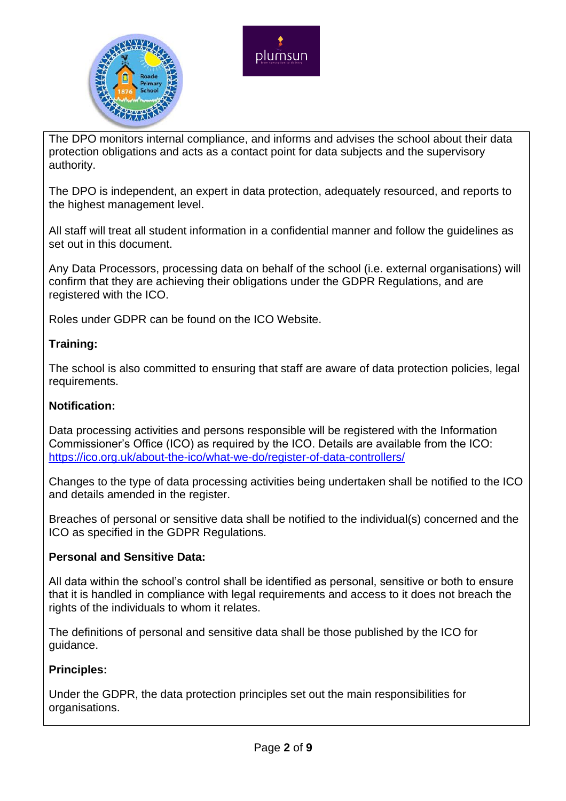



The DPO monitors internal compliance, and informs and advises the school about their data protection obligations and acts as a contact point for data subjects and the supervisory authority.

The DPO is independent, an expert in data protection, adequately resourced, and reports to the highest management level.

All staff will treat all student information in a confidential manner and follow the guidelines as set out in this document.

Any Data Processors, processing data on behalf of the school (i.e. external organisations) will confirm that they are achieving their obligations under the GDPR Regulations, and are registered with the ICO.

Roles under GDPR can be found on the ICO Website.

# **Training:**

The school is also committed to ensuring that staff are aware of data protection policies, legal requirements.

# **Notification:**

Data processing activities and persons responsible will be registered with the Information Commissioner's Office (ICO) as required by the ICO. Details are available from the ICO: <https://ico.org.uk/about-the-ico/what-we-do/register-of-data-controllers/>

Changes to the type of data processing activities being undertaken shall be notified to the ICO and details amended in the register.

Breaches of personal or sensitive data shall be notified to the individual(s) concerned and the ICO as specified in the GDPR Regulations.

# **Personal and Sensitive Data:**

All data within the school's control shall be identified as personal, sensitive or both to ensure that it is handled in compliance with legal requirements and access to it does not breach the rights of the individuals to whom it relates.

The definitions of personal and sensitive data shall be those published by the ICO for guidance.

# **Principles:**

Under the GDPR, the data protection principles set out the main responsibilities for organisations.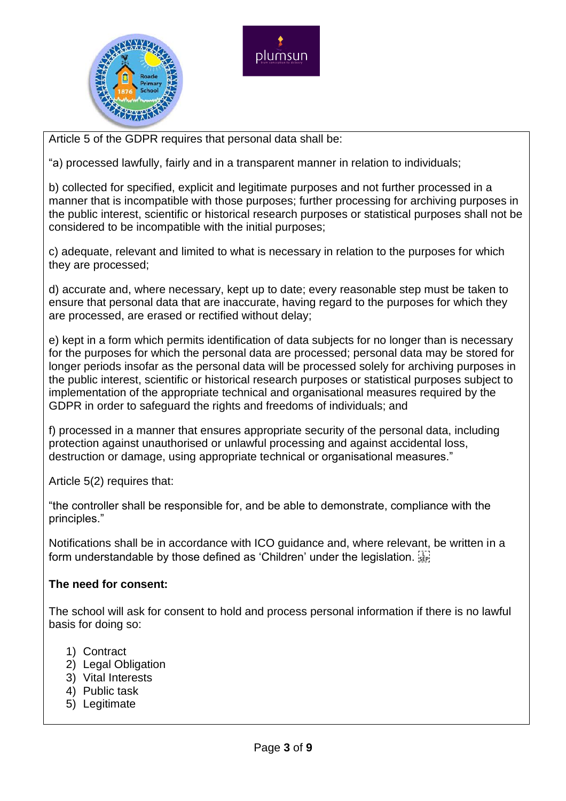



Article 5 of the GDPR requires that personal data shall be:

"a) processed lawfully, fairly and in a transparent manner in relation to individuals;

b) collected for specified, explicit and legitimate purposes and not further processed in a manner that is incompatible with those purposes; further processing for archiving purposes in the public interest, scientific or historical research purposes or statistical purposes shall not be considered to be incompatible with the initial purposes;

c) adequate, relevant and limited to what is necessary in relation to the purposes for which they are processed;

d) accurate and, where necessary, kept up to date; every reasonable step must be taken to ensure that personal data that are inaccurate, having regard to the purposes for which they are processed, are erased or rectified without delay;

e) kept in a form which permits identification of data subjects for no longer than is necessary for the purposes for which the personal data are processed; personal data may be stored for longer periods insofar as the personal data will be processed solely for archiving purposes in the public interest, scientific or historical research purposes or statistical purposes subject to implementation of the appropriate technical and organisational measures required by the GDPR in order to safeguard the rights and freedoms of individuals; and

f) processed in a manner that ensures appropriate security of the personal data, including protection against unauthorised or unlawful processing and against accidental loss, destruction or damage, using appropriate technical or organisational measures."

Article 5(2) requires that:

"the controller shall be responsible for, and be able to demonstrate, compliance with the principles."

Notifications shall be in accordance with ICO guidance and, where relevant, be written in a form understandable by those defined as 'Children' under the legislation.

#### **The need for consent:**

The school will ask for consent to hold and process personal information if there is no lawful basis for doing so:

- 1) Contract
- 2) Legal Obligation
- 3) Vital Interests
- 4) Public task
- 5) Legitimate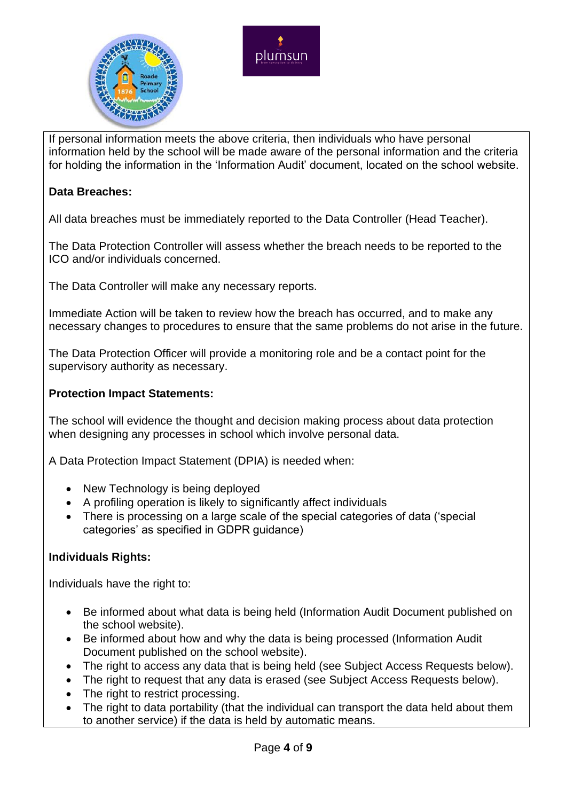



If personal information meets the above criteria, then individuals who have personal information held by the school will be made aware of the personal information and the criteria for holding the information in the 'Information Audit' document, located on the school website.

### **Data Breaches:**

All data breaches must be immediately reported to the Data Controller (Head Teacher).

The Data Protection Controller will assess whether the breach needs to be reported to the ICO and/or individuals concerned.

The Data Controller will make any necessary reports.

Immediate Action will be taken to review how the breach has occurred, and to make any necessary changes to procedures to ensure that the same problems do not arise in the future.

The Data Protection Officer will provide a monitoring role and be a contact point for the supervisory authority as necessary.

#### **Protection Impact Statements:**

The school will evidence the thought and decision making process about data protection when designing any processes in school which involve personal data.

A Data Protection Impact Statement (DPIA) is needed when:

- New Technology is being deployed
- A profiling operation is likely to significantly affect individuals
- There is processing on a large scale of the special categories of data ('special categories' as specified in GDPR guidance)

#### **Individuals Rights:**

Individuals have the right to:

- Be informed about what data is being held (Information Audit Document published on the school website).
- Be informed about how and why the data is being processed (Information Audit Document published on the school website).
- The right to access any data that is being held (see Subject Access Requests below).
- The right to request that any data is erased (see Subject Access Requests below).
- The right to restrict processing.
- The right to data portability (that the individual can transport the data held about them to another service) if the data is held by automatic means.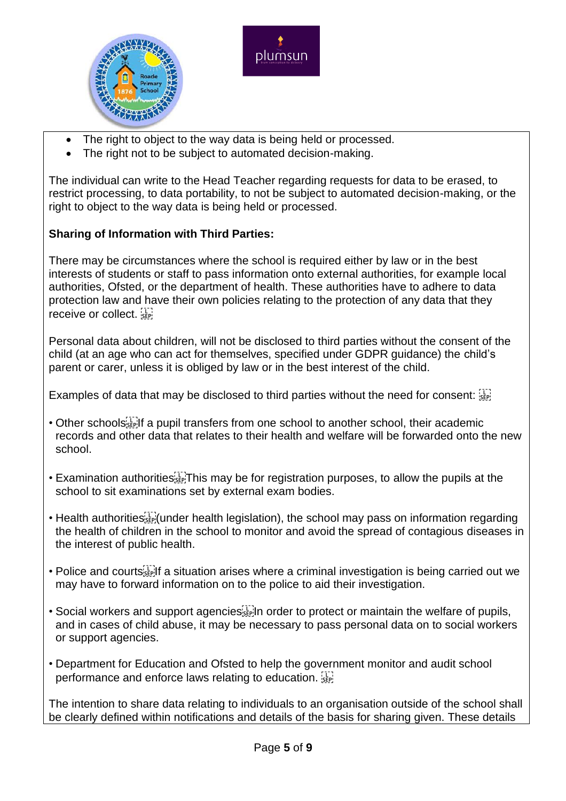



- The right to object to the way data is being held or processed.
- The right not to be subject to automated decision-making.

The individual can write to the Head Teacher regarding requests for data to be erased, to restrict processing, to data portability, to not be subject to automated decision-making, or the right to object to the way data is being held or processed.

# **Sharing of Information with Third Parties:**

There may be circumstances where the school is required either by law or in the best interests of students or staff to pass information onto external authorities, for example local authorities, Ofsted, or the department of health. These authorities have to adhere to data protection law and have their own policies relating to the protection of any data that they receive or collect.

Personal data about children, will not be disclosed to third parties without the consent of the child (at an age who can act for themselves, specified under GDPR guidance) the child's parent or carer, unless it is obliged by law or in the best interest of the child.

Examples of data that may be disclosed to third parties without the need for consent:

- Other schools  $\mathbb{F}_p^{\mathbb{F}_p}$  a pupil transfers from one school to another school, their academic records and other data that relates to their health and welfare will be forwarded onto the new school.
- Examination authorities  $\overline{SP}$ . This may be for registration purposes, to allow the pupils at the school to sit examinations set by external exam bodies.
- Health authorities<sup>[11]</sup> (under health legislation), the school may pass on information regarding the health of children in the school to monitor and avoid the spread of contagious diseases in the interest of public health.
- Police and courts<sup>[1]</sup> a situation arises where a criminal investigation is being carried out we may have to forward information on to the police to aid their investigation.
- Social workers and support agencies  $\mathbb{E}$  in order to protect or maintain the welfare of pupils, and in cases of child abuse, it may be necessary to pass personal data on to social workers or support agencies.
- Department for Education and Ofsted to help the government monitor and audit school performance and enforce laws relating to education.

The intention to share data relating to individuals to an organisation outside of the school shall be clearly defined within notifications and details of the basis for sharing given. These details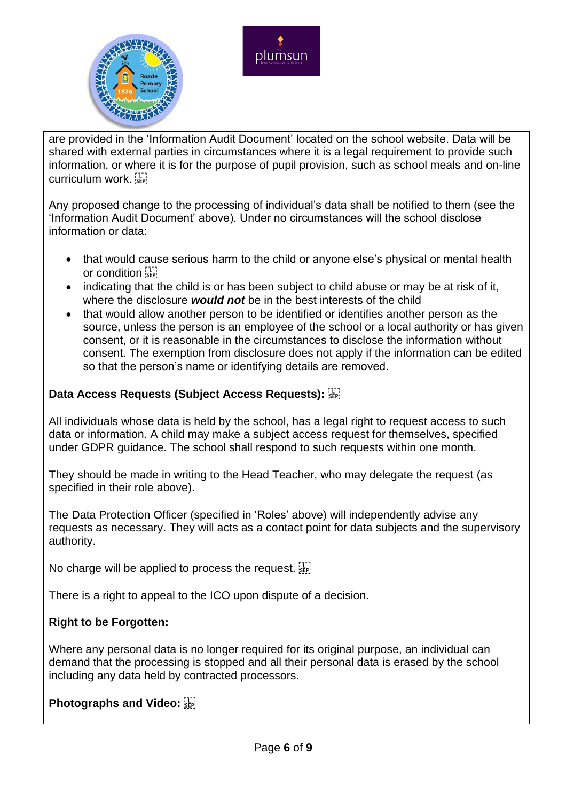



are provided in the 'Information Audit Document' located on the school website. Data will be shared with external parties in circumstances where it is a legal requirement to provide such information, or where it is for the purpose of pupil provision, such as school meals and on-line curriculum work.

Any proposed change to the processing of individual's data shall be notified to them (see the 'Information Audit Document' above). Under no circumstances will the school disclose information or data:

- that would cause serious harm to the child or anyone else's physical or mental health or condition  $\frac{1}{35}$
- indicating that the child is or has been subject to child abuse or may be at risk of it, where the disclosure *would not* be in the best interests of the child
- that would allow another person to be identified or identifies another person as the source, unless the person is an employee of the school or a local authority or has given consent, or it is reasonable in the circumstances to disclose the information without consent. The exemption from disclosure does not apply if the information can be edited so that the person's name or identifying details are removed.

# **Data Access Requests (Subject Access Requests):**

All individuals whose data is held by the school, has a legal right to request access to such data or information. A child may make a subject access request for themselves, specified under GDPR guidance. The school shall respond to such requests within one month.

They should be made in writing to the Head Teacher, who may delegate the request (as specified in their role above).

The Data Protection Officer (specified in 'Roles' above) will independently advise any requests as necessary. They will acts as a contact point for data subjects and the supervisory authority.

No charge will be applied to process the request.

There is a right to appeal to the ICO upon dispute of a decision.

# **Right to be Forgotten:**

Where any personal data is no longer required for its original purpose, an individual can demand that the processing is stopped and all their personal data is erased by the school including any data held by contracted processors.

**Photographs and Video:**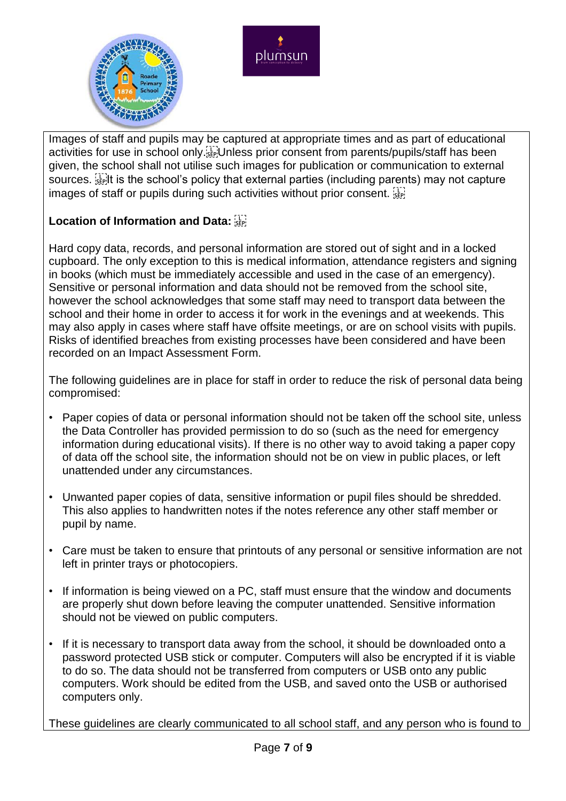



Images of staff and pupils may be captured at appropriate times and as part of educational activities for use in school only.<sup>[17]</sup> Unless prior consent from parents/pupils/staff has been given, the school shall not utilise such images for publication or communication to external sources.  $\mathbb{E}^{\mathbb{T}}$  it is the school's policy that external parties (including parents) may not capture images of staff or pupils during such activities without prior consent.  $\frac{177}{356}$ 

# **Location of Information and Data:**

Hard copy data, records, and personal information are stored out of sight and in a locked cupboard. The only exception to this is medical information, attendance registers and signing in books (which must be immediately accessible and used in the case of an emergency). Sensitive or personal information and data should not be removed from the school site, however the school acknowledges that some staff may need to transport data between the school and their home in order to access it for work in the evenings and at weekends. This may also apply in cases where staff have offsite meetings, or are on school visits with pupils. Risks of identified breaches from existing processes have been considered and have been recorded on an Impact Assessment Form.

The following guidelines are in place for staff in order to reduce the risk of personal data being compromised:

- Paper copies of data or personal information should not be taken off the school site, unless the Data Controller has provided permission to do so (such as the need for emergency information during educational visits). If there is no other way to avoid taking a paper copy of data off the school site, the information should not be on view in public places, or left unattended under any circumstances.
- Unwanted paper copies of data, sensitive information or pupil files should be shredded. This also applies to handwritten notes if the notes reference any other staff member or pupil by name.
- Care must be taken to ensure that printouts of any personal or sensitive information are not left in printer trays or photocopiers.
- If information is being viewed on a PC, staff must ensure that the window and documents are properly shut down before leaving the computer unattended. Sensitive information should not be viewed on public computers.
- If it is necessary to transport data away from the school, it should be downloaded onto a password protected USB stick or computer. Computers will also be encrypted if it is viable to do so. The data should not be transferred from computers or USB onto any public computers. Work should be edited from the USB, and saved onto the USB or authorised computers only.

These guidelines are clearly communicated to all school staff, and any person who is found to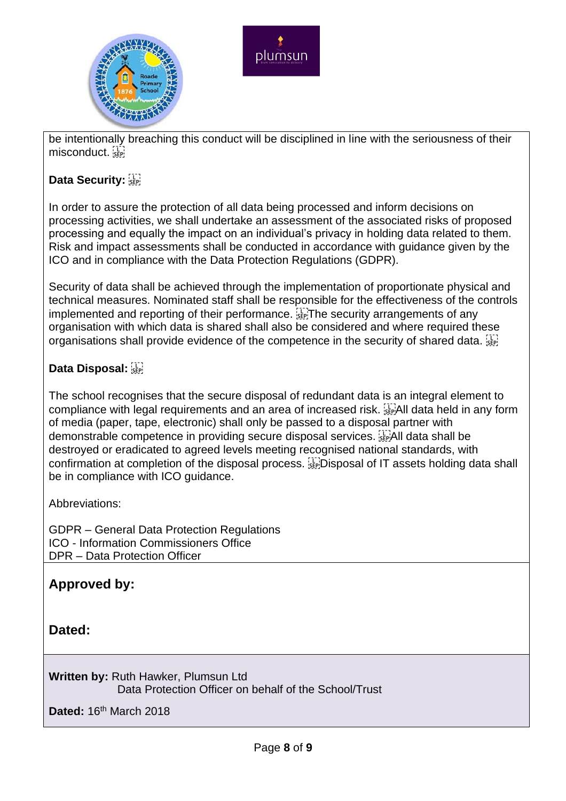



be intentionally breaching this conduct will be disciplined in line with the seriousness of their misconduct.

# **Data Security:**

In order to assure the protection of all data being processed and inform decisions on processing activities, we shall undertake an assessment of the associated risks of proposed processing and equally the impact on an individual's privacy in holding data related to them. Risk and impact assessments shall be conducted in accordance with guidance given by the ICO and in compliance with the Data Protection Regulations (GDPR).

Security of data shall be achieved through the implementation of proportionate physical and technical measures. Nominated staff shall be responsible for the effectiveness of the controls implemented and reporting of their performance. Fight the security arrangements of any organisation with which data is shared shall also be considered and where required these organisations shall provide evidence of the competence in the security of shared data. See

# **Data Disposal:**

The school recognises that the secure disposal of redundant data is an integral element to compliance with legal requirements and an area of increased risk. <sup>[17]</sup> All data held in any form of media (paper, tape, electronic) shall only be passed to a disposal partner with demonstrable competence in providing secure disposal services. **Example 18** data shall be destroyed or eradicated to agreed levels meeting recognised national standards, with confirmation at completion of the disposal process. **Example 20 Sectets** holding data shall be in compliance with ICO guidance.

Abbreviations:

GDPR – General Data Protection Regulations ICO - Information Commissioners Office DPR – Data Protection Officer

# **Approved by:**

**Dated:**

**Written by:** Ruth Hawker, Plumsun Ltd Data Protection Officer on behalf of the School/Trust

**Dated:** 16th March 2018